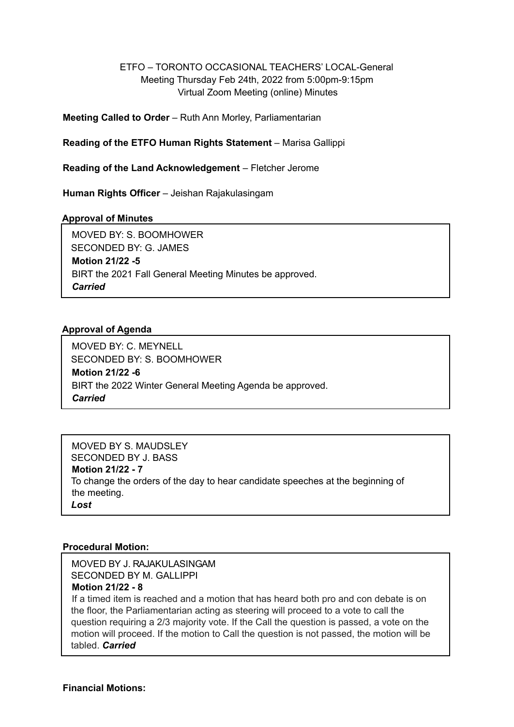#### ETFO – TORONTO OCCASIONAL TEACHERS' LOCAL-General Meeting Thursday Feb 24th, 2022 from 5:00pm-9:15pm Virtual Zoom Meeting (online) Minutes

**Meeting Called to Order** – Ruth Ann Morley, Parliamentarian

**Reading of the ETFO Human Rights Statement** – Marisa Gallippi

**Reading of the Land Acknowledgement** – Fletcher Jerome

**Human Rights Officer** – Jeishan Rajakulasingam

#### **Approval of Minutes**

MOVED BY: S. BOOMHOWER SECONDED BY: G. JAMES **Motion 21/22 -5** BIRT the 2021 Fall General Meeting Minutes be approved. *Carried*

#### **Approval of Agenda**

MOVED BY: C. MEYNELL SECONDED BY: S. BOOMHOWER **Motion 21/22 -6** BIRT the 2022 Winter General Meeting Agenda be approved. *Carried*

MOVED BY S. MAUDSLEY SECONDED BY J. BASS **Motion 21/22 - 7** To change the orders of the day to hear candidate speeches at the beginning of the meeting. *Lost*

#### **Procedural Motion:**

SECONDED BY M. GALLIPPI MOVED BY J. RAJAKULASINGAM

#### **Motion 21/22 - 8**

If a timed item is reached and a motion that has heard both pro and con debate is on the floor, the Parliamentarian acting as steering will proceed to a vote to call the question requiring a 2/3 majority vote. If the Call the question is passed, a vote on the motion will proceed. If the motion to Call the question is not passed, the motion will be tabled. *Carried*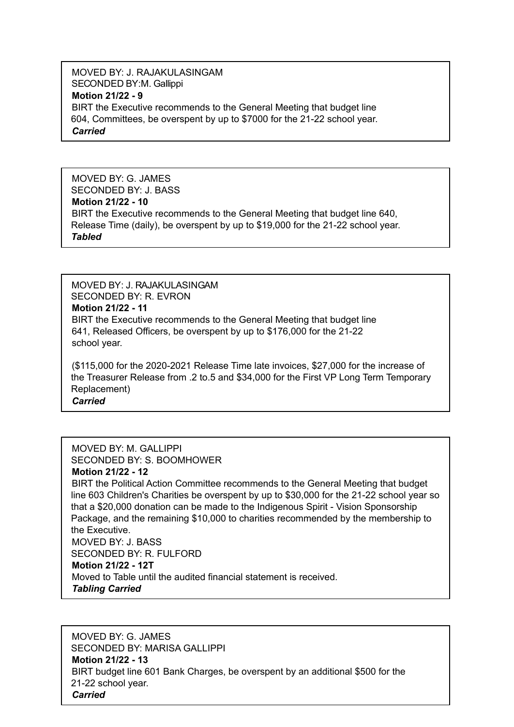MOVED BY: J. RAJAKULASINGAM **Motion 21/22 - 9** BIRT the Executive recommends to the General Meeting that budget line 604, Committees, be overspent by up to \$7000 for the 21-22 school year. *Carried* SECONDED BY:M. Gallippi

MOVED BY: G. JAMES SECONDED BY: J. BASS **Motion 21/22 - 10** BIRT the Executive recommends to the General Meeting that budget line 640, Release Time (daily), be overspent by up to \$19,000 for the 21-22 school year. *Tabled*

SECONDED BY: R. EVRON **Motion 21/22 - 11** BIRT the Executive recommends to the General Meeting that budget line 641, Released Officers, be overspent by up to \$176,000 for the 21-22 school year. MOVED BY: J. RAJAKULASINGAM

(\$115,000 for the 2020-2021 Release Time late invoices, \$27,000 for the increase of the Treasurer Release from .2 to.5 and \$34,000 for the First VP Long Term Temporary Replacement) *Carried*

MOVED BY: M. GALLIPPI SECONDED BY: S. BOOMHOWER **Motion 21/22 - 12** BIRT the Political Action Committee recommends to the General Meeting that budget line 603 Children's Charities be overspent by up to \$30,000 for the 21-22 school year so that a \$20,000 donation can be made to the Indigenous Spirit - Vision Sponsorship Package, and the remaining \$10,000 to charities recommended by the membership to the Executive. MOVED BY: J. BASS SECONDED BY: R. FULFORD **Motion 21/22 - 12T** Moved to Table until the audited financial statement is received. *Tabling Carried*

MOVED BY: G. JAMES SECONDED BY: MARISA GALLIPPI **Motion 21/22 - 13** BIRT budget line 601 Bank Charges, be overspent by an additional \$500 for the 21-22 school year. *Carried*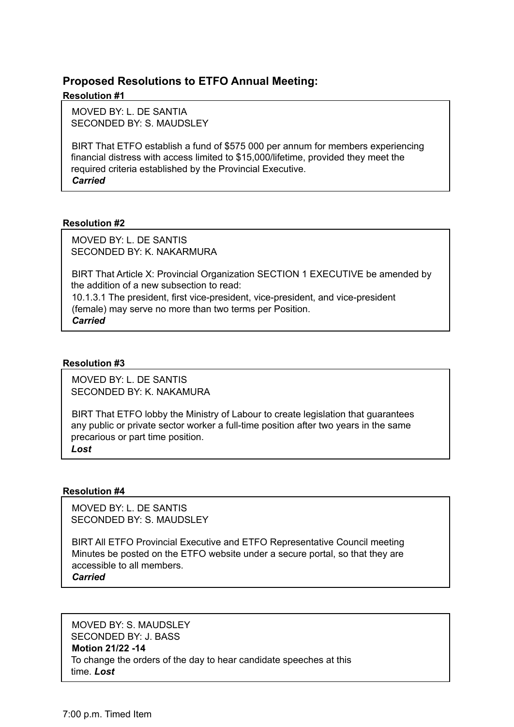#### **Proposed Resolutions to ETFO Annual Meeting:**

#### **Resolution #1**

MOVED BY: L. DE SANTIA SECONDED BY: S. MAUDSLEY

BIRT That ETFO establish a fund of \$575 000 per annum for members experiencing financial distress with access limited to \$15,000/lifetime, provided they meet the required criteria established by the Provincial Executive. *Carried*

#### **Resolution #2**

MOVED BY: L. DE SANTIS SECONDED BY: K. NAKARMURA

BIRT That Article X: Provincial Organization SECTION 1 EXECUTIVE be amended by the addition of a new subsection to read:

10.1.3.1 The president, first vice-president, vice-president, and vice-president (female) may serve no more than two terms per Position. *Carried*

#### **Resolution #3**

MOVED BY: L. DE SANTIS SECONDED BY: K. NAKAMURA

BIRT That ETFO lobby the Ministry of Labour to create legislation that guarantees any public or private sector worker a full-time position after two years in the same precarious or part time position.

*Lost*

#### **Resolution #4**

MOVED BY: L. DE SANTIS SECONDED BY: S. MAUDSLEY

BIRT All ETFO Provincial Executive and ETFO Representative Council meeting Minutes be posted on the ETFO website under a secure portal, so that they are accessible to all members.

*Carried*

MOVED BY: S. MAUDSLEY

SECONDED BY: J. BASS

#### **Motion 21/22 -14**

To change the orders of the day to hear candidate speeches at this time. *Lost*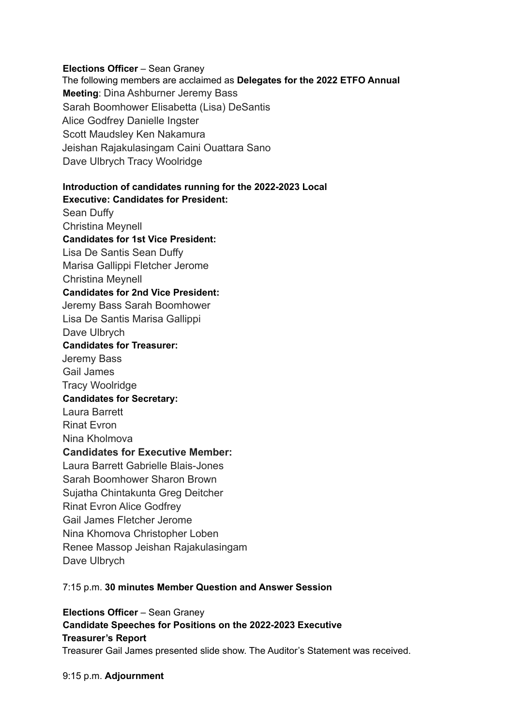#### **Elections Officer** – Sean Graney

The following members are acclaimed as **Delegates for the 2022 ETFO Annual Meeting**: Dina Ashburner Jeremy Bass Sarah Boomhower Elisabetta (Lisa) DeSantis Alice Godfrey Danielle Ingster Scott Maudsley Ken Nakamura Jeishan Rajakulasingam Caini Ouattara Sano Dave Ulbrych Tracy Woolridge

#### **Introduction of candidates running for the 2022-2023 Local Executive: Candidates for President:**

Sean Duffy Christina Meynell **Candidates for 1st Vice President:** Lisa De Santis Sean Duffy Marisa Gallippi Fletcher Jerome Christina Meynell **Candidates for 2nd Vice President:** Jeremy Bass Sarah Boomhower Lisa De Santis Marisa Gallippi Dave Ulbrych **Candidates for Treasurer:** Jeremy Bass Gail James Tracy Woolridge **Candidates for Secretary:** Laura Barrett Rinat Evron Nina Kholmova **Candidates for Executive Member:** Laura Barrett Gabrielle Blais-Jones Sarah Boomhower Sharon Brown Sujatha Chintakunta Greg Deitcher Rinat Evron Alice Godfrey Gail James Fletcher Jerome Nina Khomova Christopher Loben Renee Massop Jeishan Rajakulasingam Dave Ulbrych

#### 7:15 p.m. **30 minutes Member Question and Answer Session**

**Elections Officer** – Sean Graney

**Candidate Speeches for Positions on the 2022-2023 Executive Treasurer's Report** Treasurer Gail James presented slide show. The Auditor's Statement was received.

9:15 p.m. **Adjournment**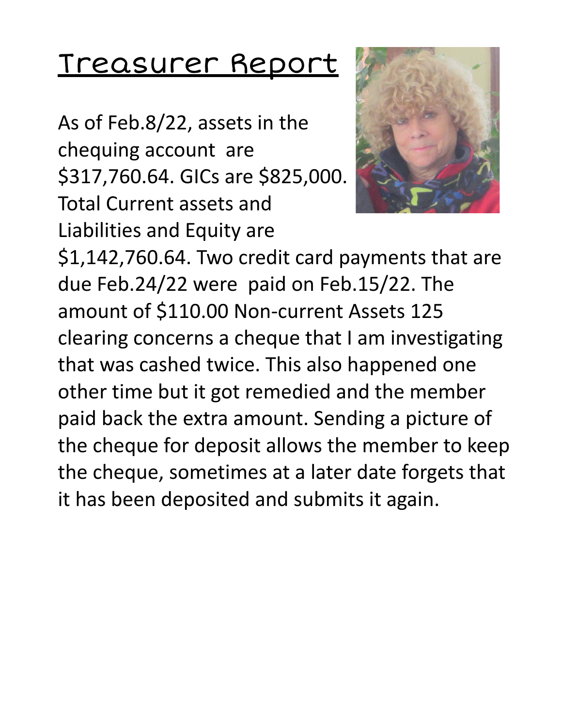# Treasurer Report

As of Feb.8/22, assets in the chequing account are \$317,760.64. GICs are \$825,000. Total Current assets and Liabilities and Equity are



\$1,142,760.64. Two credit card payments that are due Feb.24/22 were paid on Feb.15/22. The amount of \$110.00 Non-current Assets 125 clearing concerns a cheque that I am investigating that was cashed twice. This also happened one other time but it got remedied and the member paid back the extra amount. Sending a picture of the cheque for deposit allows the member to keep the cheque, sometimes at a later date forgets that it has been deposited and submits it again.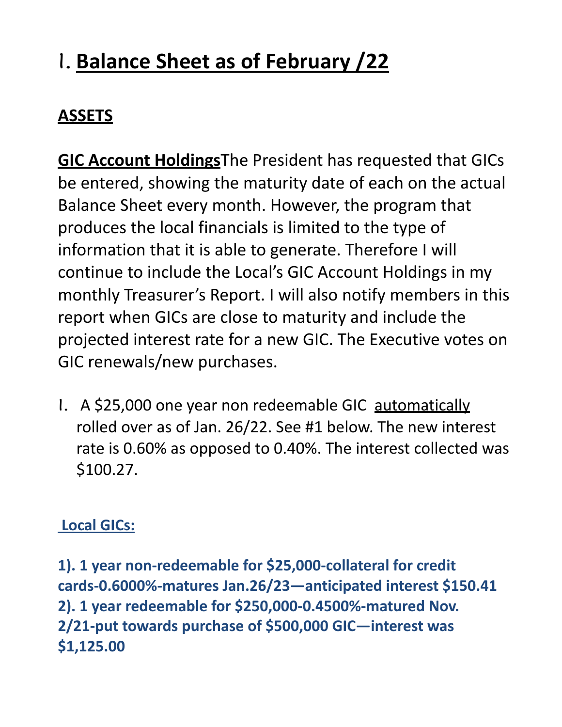# 1. **Balance Sheet as of February /22**

## **ASSETS**

**GIC Account Holdings**The President has requested that GICs be entered, showing the maturity date of each on the actual Balance Sheet every month. However, the program that produces the local financials is limited to the type of information that it is able to generate. Therefore I will continue to include the Local's GIC Account Holdings in my monthly Treasurer's Report. I will also notify members in this report when GICs are close to maturity and include the projected interest rate for a new GIC. The Executive votes on GIC renewals/new purchases.

1. A \$25,000 one year non redeemable GIC automatically rolled over as of Jan. 26/22. See #1 below. The new interest rate is 0.60% as opposed to 0.40%. The interest collected was \$100.27.

### **Local GICs:**

**1). 1 year non-redeemable for \$25,000-collateral for credit cards-0.6000%-matures Jan.26/23—anticipated interest \$150.41 2). 1 year redeemable for \$250,000-0.4500%-matured Nov. 2/21-put towards purchase of \$500,000 GIC—interest was \$1,125.00**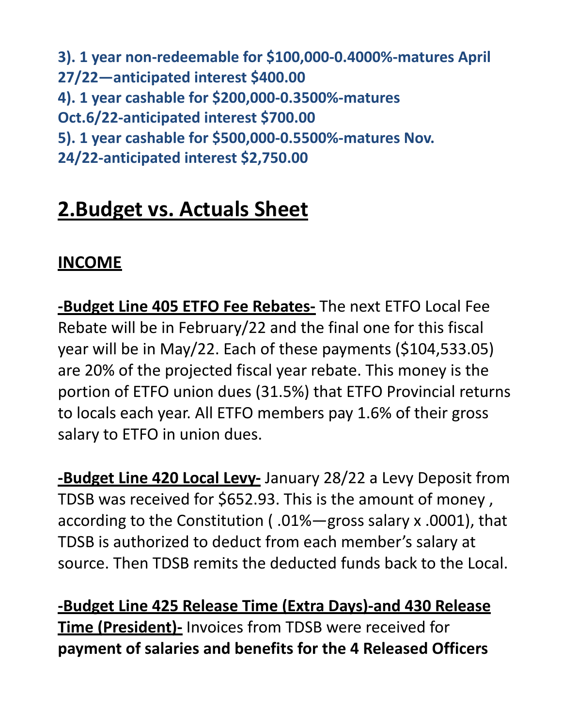**3). 1 year non-redeemable for \$100,000-0.4000%-matures April 27/22—anticipated interest \$400.00 4). 1 year cashable for \$200,000-0.3500%-matures Oct.6/22-anticipated interest \$700.00 5). 1 year cashable for \$500,000-0.5500%-matures Nov. 24/22-anticipated interest \$2,750.00**

# **2.Budget vs. Actuals Sheet**

### **INCOME**

**-Budget Line 405 ETFO Fee Rebates-** The next ETFO Local Fee Rebate will be in February/22 and the final one for this fiscal year will be in May/22. Each of these payments (\$104,533.05) are 20% of the projected fiscal year rebate. This money is the portion of ETFO union dues (31.5%) that ETFO Provincial returns to locals each year. All ETFO members pay 1.6% of their gross salary to ETFO in union dues.

**-Budget Line 420 Local Levy-** January 28/22 a Levy Deposit from TDSB was received for \$652.93. This is the amount of money , according to the Constitution ( .01%—gross salary x .0001), that TDSB is authorized to deduct from each member's salary at source. Then TDSB remits the deducted funds back to the Local.

**-Budget Line 425 Release Time (Extra Days)-and 430 Release Time (President)-** Invoices from TDSB were received for **payment of salaries and benefits for the 4 Released Officers**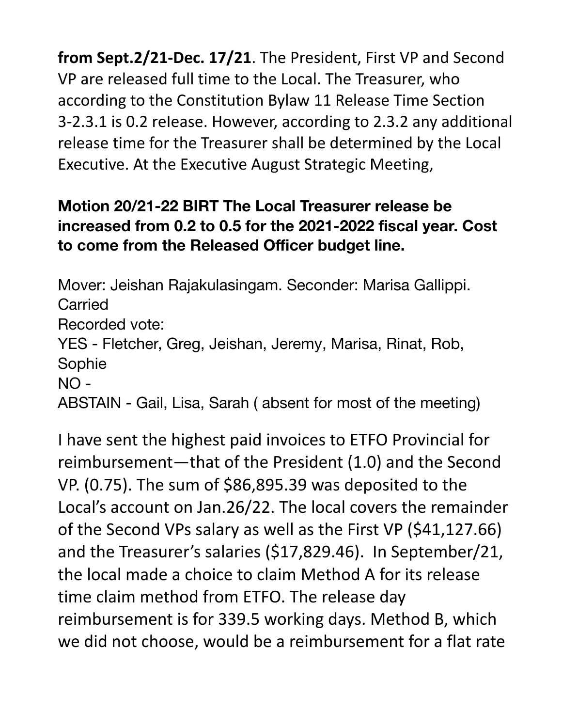**from Sept.2/21-Dec. 17/21**. The President, First VP and Second VP are released full time to the Local. The Treasurer, who according to the Constitution Bylaw 11 Release Time Section 3-2.3.1 is 0.2 reIease. However, according to 2.3.2 any additional release time for the Treasurer shall be determined by the Local Executive. At the Executive August Strategic Meeting,

#### **Motion 20/21-22 BIRT The Local Treasurer release be increased from 0.2 to 0.5 for the 2021-2022 fiscal year. Cost to come from the Released Officer budget line.**

Mover: Jeishan Rajakulasingam. Seconder: Marisa Gallippi. Carried Recorded vote: YES - Fletcher, Greg, Jeishan, Jeremy, Marisa, Rinat, Rob, Sophie NO - ABSTAIN - Gail, Lisa, Sarah ( absent for most of the meeting)

I have sent the highest paid invoices to ETFO Provincial for reimbursement—that of the President (1.0) and the Second VP. (0.75). The sum of \$86,895.39 was deposited to the Local's account on Jan.26/22. The local covers the remainder of the Second VPs salary as well as the First VP (\$41,127.66) and the Treasurer's salaries (\$17,829.46). In September/21, the local made a choice to claim Method A for its release time claim method from ETFO. The release day reimbursement is for 339.5 working days. Method B, which we did not choose, would be a reimbursement for a flat rate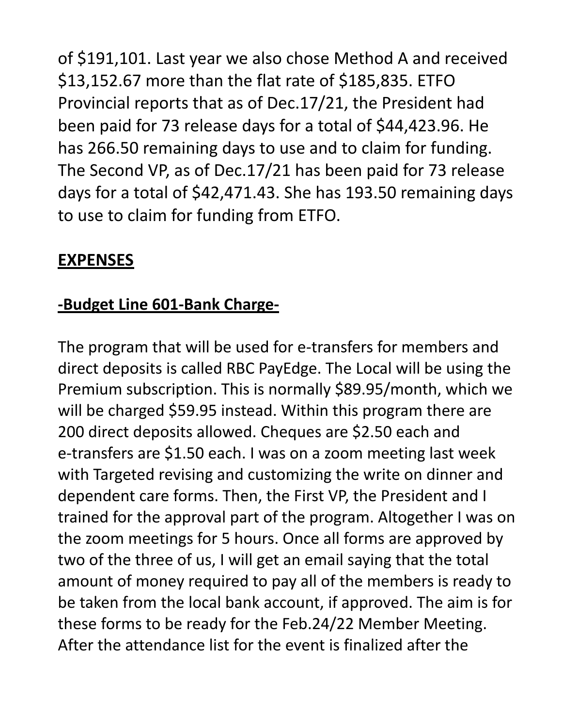of \$191,101. Last year we also chose Method A and received \$13,152.67 more than the flat rate of \$185,835. ETFO Provincial reports that as of Dec.17/21, the President had been paid for 73 release days for a total of \$44,423.96. He has 266.50 remaining days to use and to claim for funding. The Second VP, as of Dec.17/21 has been paid for 73 release days for a total of \$42,471.43. She has 193.50 remaining days to use to claim for funding from ETFO.

#### **EXPENSES**

#### **-Budget Line 601-Bank Charge-**

The program that will be used for e-transfers for members and direct deposits is called RBC PayEdge. The Local will be using the Premium subscription. This is normally \$89.95/month, which we will be charged \$59.95 instead. Within this program there are 200 direct deposits allowed. Cheques are \$2.50 each and e-transfers are \$1.50 each. I was on a zoom meeting last week with Targeted revising and customizing the write on dinner and dependent care forms. Then, the First VP, the President and I trained for the approval part of the program. Altogether I was on the zoom meetings for 5 hours. Once all forms are approved by two of the three of us, I will get an email saying that the total amount of money required to pay all of the members is ready to be taken from the local bank account, if approved. The aim is for these forms to be ready for the Feb.24/22 Member Meeting. After the attendance list for the event is finalized after the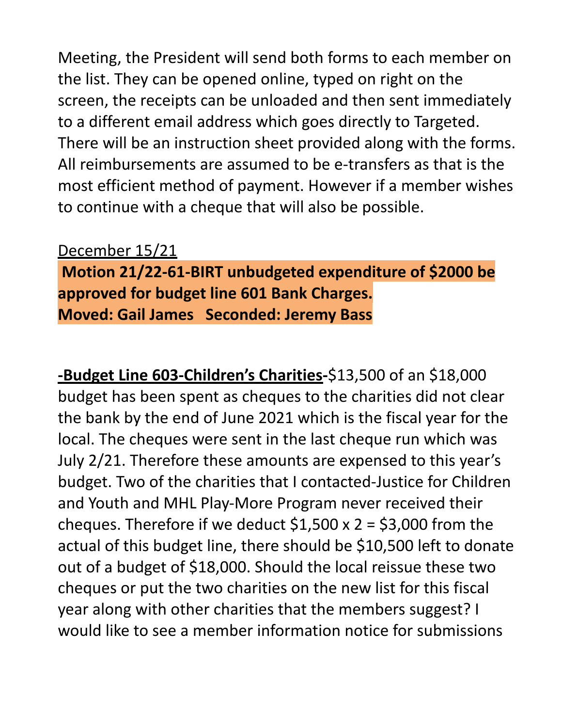Meeting, the President will send both forms to each member on the list. They can be opened online, typed on right on the screen, the receipts can be unloaded and then sent immediately to a different email address which goes directly to Targeted. There will be an instruction sheet provided along with the forms. All reimbursements are assumed to be e-transfers as that is the most efficient method of payment. However if a member wishes to continue with a cheque that will also be possible.

#### December 15/21

**Motion 21/22-61-BIRT unbudgeted expenditure of \$2000 be approved for budget line 601 Bank Charges. Moved: Gail James Seconded: Jeremy Bass**

**-Budget Line 603-Children's Charities-**\$13,500 of an \$18,000 budget has been spent as cheques to the charities did not clear the bank by the end of June 2021 which is the fiscal year for the local. The cheques were sent in the last cheque run which was July 2/21. Therefore these amounts are expensed to this year's budget. Two of the charities that I contacted-Justice for Children and Youth and MHL Play-More Program never received their cheques. Therefore if we deduct  $$1,500 \times 2 = $3,000$  from the actual of this budget line, there should be \$10,500 left to donate out of a budget of \$18,000. Should the local reissue these two cheques or put the two charities on the new list for this fiscal year along with other charities that the members suggest? I would like to see a member information notice for submissions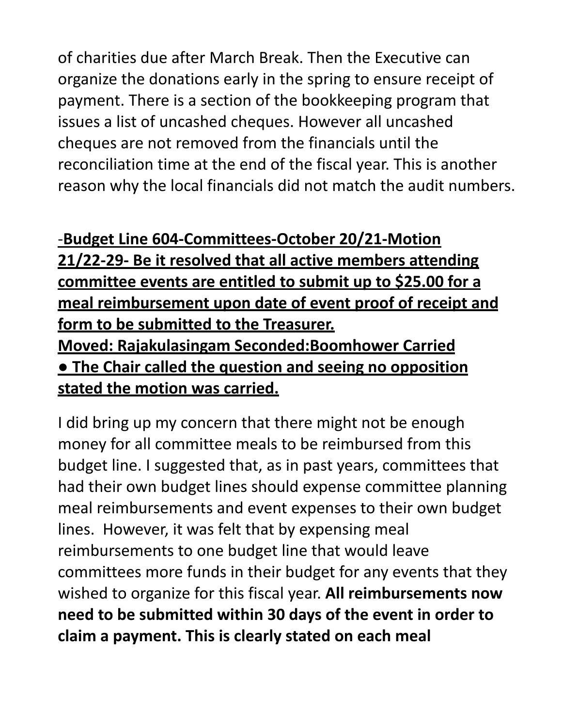of charities due after March Break. Then the Executive can organize the donations early in the spring to ensure receipt of payment. There is a section of the bookkeeping program that issues a list of uncashed cheques. However all uncashed cheques are not removed from the financials until the reconciliation time at the end of the fiscal year. This is another reason why the local financials did not match the audit numbers.

#### -**Budget Line 604-Committees-October 20/21-Motion**

**21/22-29- Be it resolved that all active members attending committee events are entitled to submit up to \$25.00 for a meal reimbursement upon date of event proof of receipt and form to be submitted to the Treasurer. Moved: Rajakulasingam Seconded:Boomhower Carried ● The Chair called the question and seeing no opposition stated the motion was carried.**

I did bring up my concern that there might not be enough money for all committee meals to be reimbursed from this budget line. I suggested that, as in past years, committees that had their own budget lines should expense committee planning meal reimbursements and event expenses to their own budget lines. However, it was felt that by expensing meal reimbursements to one budget line that would leave committees more funds in their budget for any events that they wished to organize for this fiscal year. **All reimbursements now need to be submitted within 30 days of the event in order to claim a payment. This is clearly stated on each meal**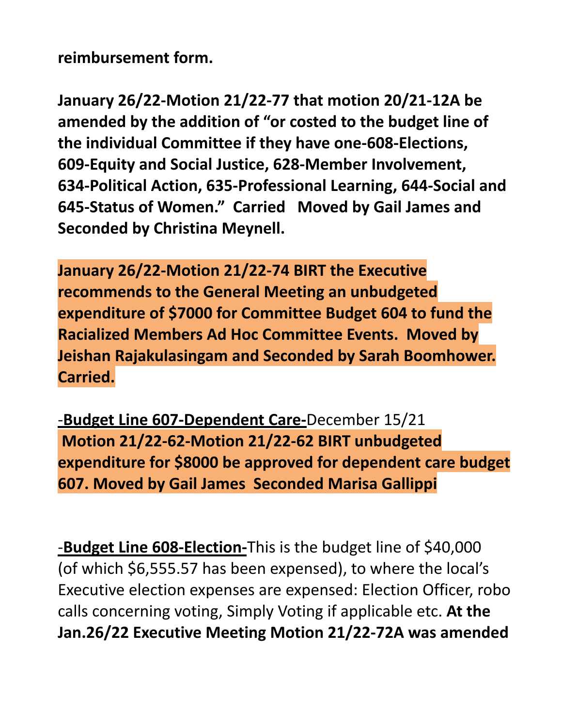**reimbursement form.**

**January 26/22-Motion 21/22-77 that motion 20/21-12A be amended by the addition of "or costed to the budget line of the individual Committee if they have one-608-Elections, 609-Equity and Social Justice, 628-Member Involvement, 634-Political Action, 635-Professional Learning, 644-Social and 645-Status of Women." Carried Moved by Gail James and Seconded by Christina Meynell.**

**January 26/22-Motion 21/22-74 BIRT the Executive recommends to the General Meeting an unbudgeted expenditure of \$7000 for Committee Budget 604 to fund the Racialized Members Ad Hoc Committee Events. Moved by Jeishan Rajakulasingam and Seconded by Sarah Boomhower. Carried.**

-**Budget Line 607-Dependent Care-**December 15/21 **Motion 21/22-62-Motion 21/22-62 BIRT unbudgeted expenditure for \$8000 be approved for dependent care budget 607. Moved by Gail James Seconded Marisa Gallippi**

-**Budget Line 608-Election-**This is the budget line of \$40,000 (of which \$6,555.57 has been expensed), to where the local's Executive election expenses are expensed: Election Officer, robo calls concerning voting, Simply Voting if applicable etc. **At the Jan.26/22 Executive Meeting Motion 21/22-72A was amended**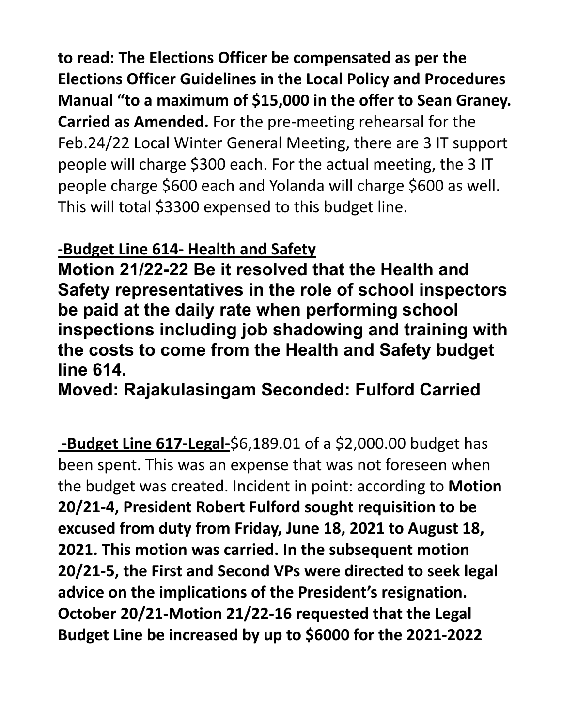**to read: The Elections Officer be compensated as per the Elections Officer Guidelines in the Local Policy and Procedures Manual "to a maximum of \$15,000 in the offer to Sean Graney. Carried as Amended.** For the pre-meeting rehearsal for the Feb.24/22 Local Winter General Meeting, there are 3 IT support people will charge \$300 each. For the actual meeting, the 3 IT people charge \$600 each and Yolanda will charge \$600 as well. This will total \$3300 expensed to this budget line.

#### **-Budget Line 614- Health and Safety**

**Motion 21/22-22 Be it resolved that the Health and Safety representatives in the role of school inspectors be paid at the daily rate when performing school inspections including job shadowing and training with the costs to come from the Health and Safety budget line 614.**

**Moved: Rajakulasingam Seconded: Fulford Carried**

**-Budget Line 617-Legal-**\$6,189.01 of a \$2,000.00 budget has been spent. This was an expense that was not foreseen when the budget was created. Incident in point: according to **Motion 20/21-4, President Robert Fulford sought requisition to be excused from duty from Friday, June 18, 2021 to August 18, 2021. This motion was carried. In the subsequent motion 20/21-5, the First and Second VPs were directed to seek legal advice on the implications of the President's resignation. October 20/21-Motion 21/22-16 requested that the Legal Budget Line be increased by up to \$6000 for the 2021-2022**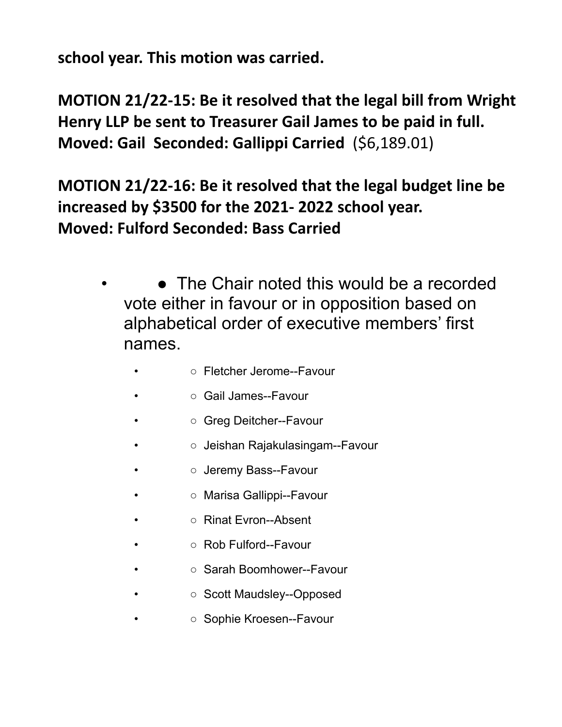**school year. This motion was carried.**

**MOTION 21/22-15: Be it resolved that the legal bill from Wright Henry LLP be sent to Treasurer Gail James to be paid in full. Moved: Gail Seconded: Gallippi Carried** (\$6,189.01)

**MOTION 21/22-16: Be it resolved that the legal budget line be increased by \$3500 for the 2021- 2022 school year. Moved: Fulford Seconded: Bass Carried**

- The Chair noted this would be a recorded vote either in favour or in opposition based on alphabetical order of executive members' first names.
	- **• • • Fletcher Jerome--Favour**
	- **• • • Gail James--Favour**
	- ○ Greg Deitcher--Favour
	- ○ Jeishan Rajakulasingam--Favour
	- o Jeremy Bass--Favour
	- ○ Marisa Gallippi--Favour
	- Rinat Evron--Absent
	- Rob Fulford--Favour
	- **• • • Sarah Boomhower--Favour**
	- ○ Scott Maudsley--Opposed
	- ○ Sophie Kroesen--Favour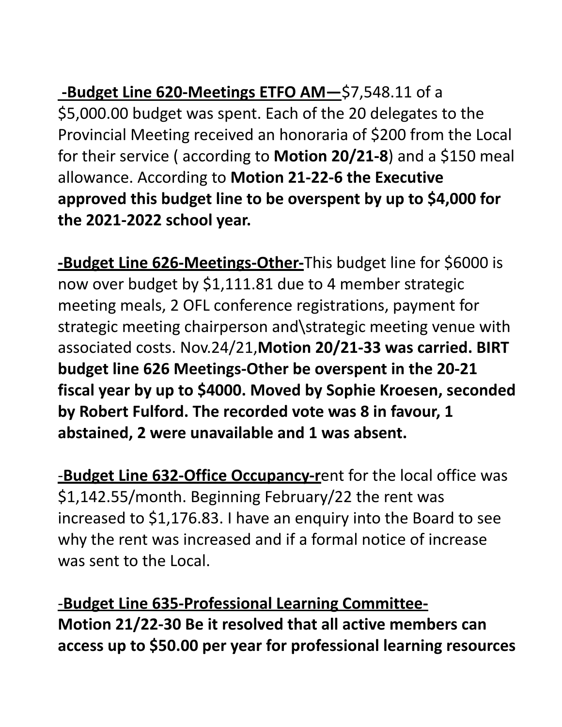**-Budget Line 620-Meetings ETFO AM—**\$7,548.11 of a \$5,000.00 budget was spent. Each of the 20 delegates to the Provincial Meeting received an honoraria of \$200 from the Local for their service ( according to **Motion 20/21-8**) and a \$150 meal allowance. According to **Motion 21-22-6 the Executive approved this budget line to be overspent by up to \$4,000 for the 2021-2022 school year.**

**-Budget Line 626-Meetings-Other-**This budget line for \$6000 is now over budget by \$1,111.81 due to 4 member strategic meeting meals, 2 OFL conference registrations, payment for strategic meeting chairperson and\strategic meeting venue with associated costs. Nov.24/21,**Motion 20/21-33 was carried. BIRT budget line 626 Meetings-Other be overspent in the 20-21 fiscal year by up to \$4000. Moved by Sophie Kroesen, seconded by Robert Fulford. The recorded vote was 8 in favour, 1 abstained, 2 were unavailable and 1 was absent.**

-**Budget Line 632-Office Occupancy-r**ent for the local office was \$1,142.55/month. Beginning February/22 the rent was increased to \$1,176.83. I have an enquiry into the Board to see why the rent was increased and if a formal notice of increase was sent to the Local.

-**Budget Line 635-Professional Learning Committee-Motion 21/22-30 Be it resolved that all active members can access up to \$50.00 per year for professional learning resources**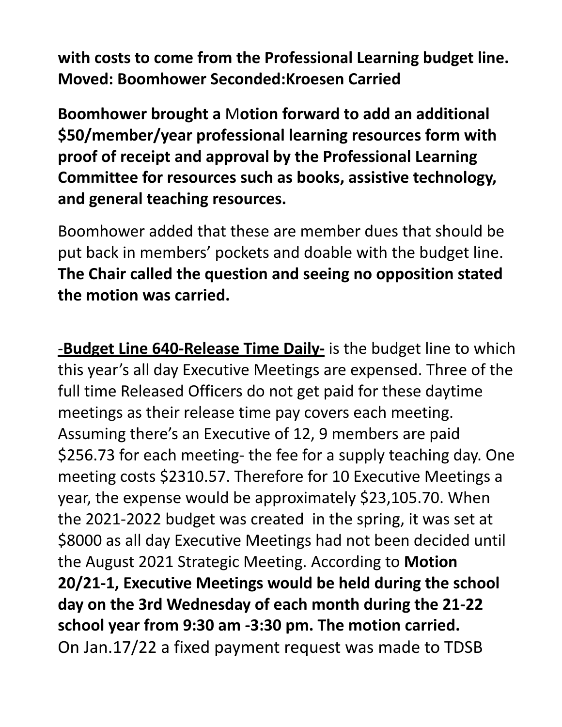**with costs to come from the Professional Learning budget line. Moved: Boomhower Seconded:Kroesen Carried**

**Boomhower brought a** M**otion forward to add an additional \$50/member/year professional learning resources form with proof of receipt and approval by the Professional Learning Committee for resources such as books, assistive technology, and general teaching resources.**

Boomhower added that these are member dues that should be put back in members' pockets and doable with the budget line. **The Chair called the question and seeing no opposition stated the motion was carried.**

-**Budget Line 640-Release Time Daily-** is the budget line to which this year's all day Executive Meetings are expensed. Three of the full time Released Officers do not get paid for these daytime meetings as their release time pay covers each meeting. Assuming there's an Executive of 12, 9 members are paid \$256.73 for each meeting- the fee for a supply teaching day. One meeting costs \$2310.57. Therefore for 10 Executive Meetings a year, the expense would be approximately \$23,105.70. When the 2021-2022 budget was created in the spring, it was set at \$8000 as all day Executive Meetings had not been decided until the August 2021 Strategic Meeting. According to **Motion 20/21-1, Executive Meetings would be held during the school day on the 3rd Wednesday of each month during the 21-22 school year from 9:30 am -3:30 pm. The motion carried.** On Jan.17/22 a fixed payment request was made to TDSB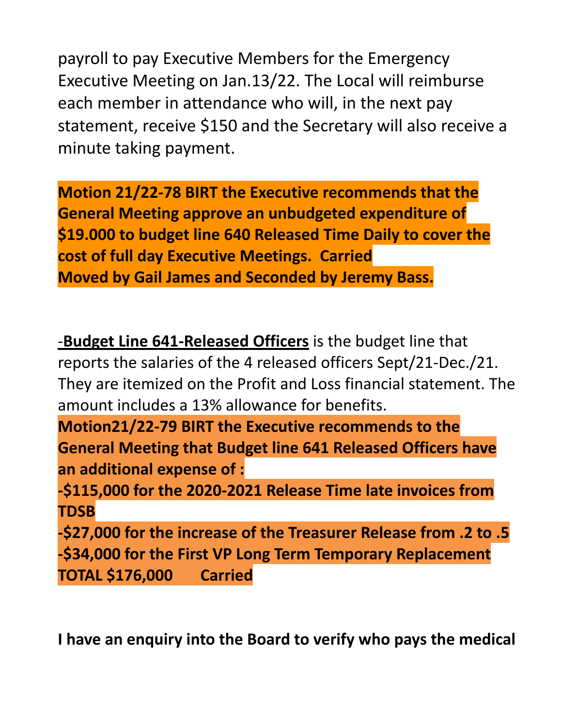payroll to pay Executive Members for the Emergency Executive Meeting on Jan.13/22. The Local will reimburse each member in attendance who will, in the next pay statement, receive \$150 and the Secretary will also receive a minute taking payment.

**Motion 21/22-78 BIRT the Executive recommends that the General Meeting approve an unbudgeted expenditure of \$19.000 to budget line 640 Released Time Daily to cover the cost of full day Executive Meetings. Carried Moved by Gail James and Seconded by Jeremy Bass.**

-**Budget Line 641-Released Officers** is the budget line that reports the salaries of the 4 released officers Sept/21-Dec./21. They are itemized on the Profit and Loss financial statement. The amount includes a 13% allowance for benefits.

**Motion21/22-79 BIRT the Executive recommends to the General Meeting that Budget line 641 Released Officers have an additional expense of :**

**-\$115,000 for the 2020-2021 Release Time late invoices from TDSB**

**-\$27,000 for the increase of the Treasurer Release from .2 to .5 -\$34,000 for the First VP Long Term Temporary Replacement TOTAL \$176,000 Carried**

**I have an enquiry into the Board to verify who pays the medical**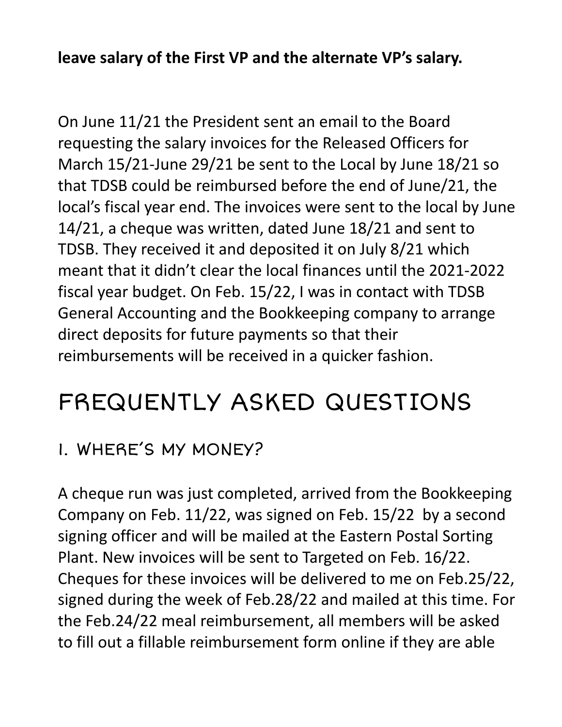#### **leave salary of the First VP and the alternate VP's salary.**

On June 11/21 the President sent an email to the Board requesting the salary invoices for the Released Officers for March 15/21-June 29/21 be sent to the Local by June 18/21 so that TDSB could be reimbursed before the end of June/21, the local's fiscal year end. The invoices were sent to the local by June 14/21, a cheque was written, dated June 18/21 and sent to TDSB. They received it and deposited it on July 8/21 which meant that it didn't clear the local finances until the 2021-2022 fiscal year budget. On Feb. 15/22, I was in contact with TDSB General Accounting and the Bookkeeping company to arrange direct deposits for future payments so that their reimbursements will be received in a quicker fashion.

# FREQUENTLY ASKED QUESTIONS

### 1. WHERE'S MY MONEY?

A cheque run was just completed, arrived from the Bookkeeping Company on Feb. 11/22, was signed on Feb. 15/22 by a second signing officer and will be mailed at the Eastern Postal Sorting Plant. New invoices will be sent to Targeted on Feb. 16/22. Cheques for these invoices will be delivered to me on Feb.25/22, signed during the week of Feb.28/22 and mailed at this time. For the Feb.24/22 meal reimbursement, all members will be asked to fill out a fillable reimbursement form online if they are able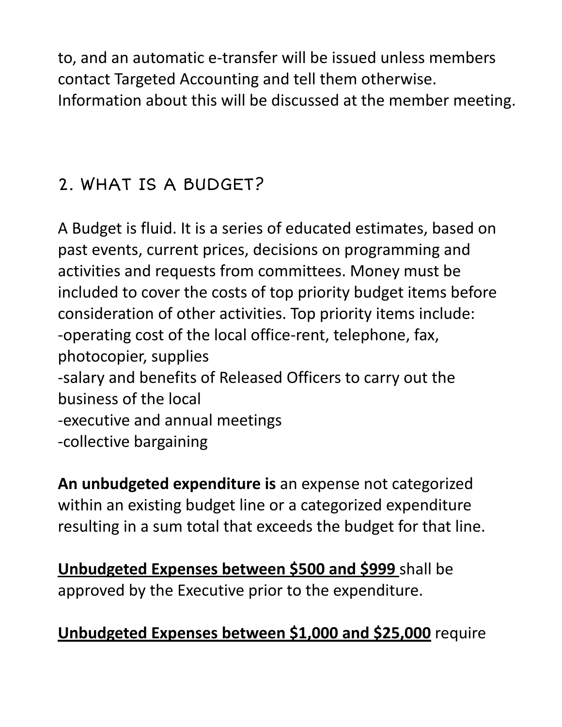to, and an automatic e-transfer will be issued unless members contact Targeted Accounting and tell them otherwise. Information about this will be discussed at the member meeting.

## 2. WHAT IS A BUDGET?

A Budget is fluid. It is a series of educated estimates, based on past events, current prices, decisions on programming and activities and requests from committees. Money must be included to cover the costs of top priority budget items before consideration of other activities. Top priority items include: -operating cost of the local office-rent, telephone, fax, photocopier, supplies -salary and benefits of Released Officers to carry out the business of the local -executive and annual meetings -collective bargaining

**An unbudgeted expenditure is** an expense not categorized within an existing budget line or a categorized expenditure resulting in a sum total that exceeds the budget for that line.

**Unbudgeted Expenses between \$500 and \$999** shall be approved by the Executive prior to the expenditure.

### **Unbudgeted Expenses between \$1,000 and \$25,000** require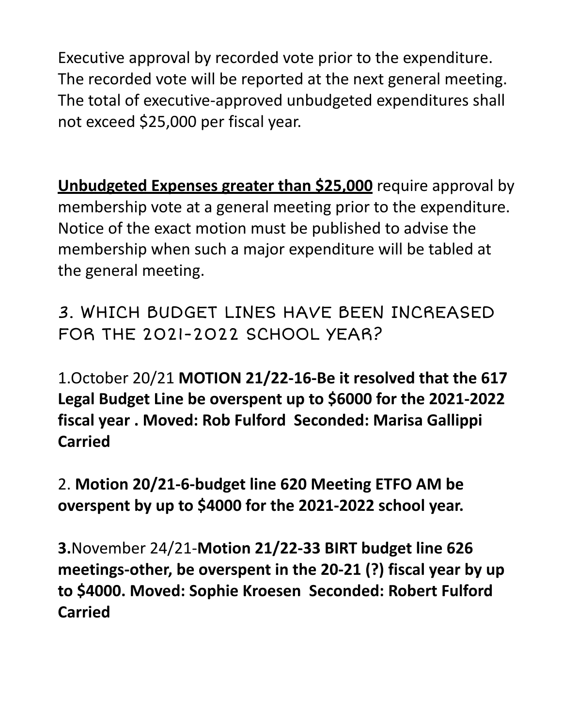Executive approval by recorded vote prior to the expenditure. The recorded vote will be reported at the next general meeting. The total of executive-approved unbudgeted expenditures shall not exceed \$25,000 per fiscal year.

**Unbudgeted Expenses greater than \$25,000** require approval by membership vote at a general meeting prior to the expenditure. Notice of the exact motion must be published to advise the membership when such a major expenditure will be tabled at the general meeting.

3. WHICH BUDGET LINES HAVE BEEN INCREASED FOR THE 2021-2022 SCHOOL YEAR?

1.October 20/21 **MOTION 21/22-16-Be it resolved that the 617 Legal Budget Line be overspent up to \$6000 for the 2021-2022 fiscal year . Moved: Rob Fulford Seconded: Marisa Gallippi Carried**

2. **Motion 20/21-6-budget line 620 Meeting ETFO AM be overspent by up to \$4000 for the 2021-2022 school year.**

**3.**November 24/21-**Motion 21/22-33 BIRT budget line 626 meetings-other, be overspent in the 20-21 (?) fiscal year by up to \$4000. Moved: Sophie Kroesen Seconded: Robert Fulford Carried**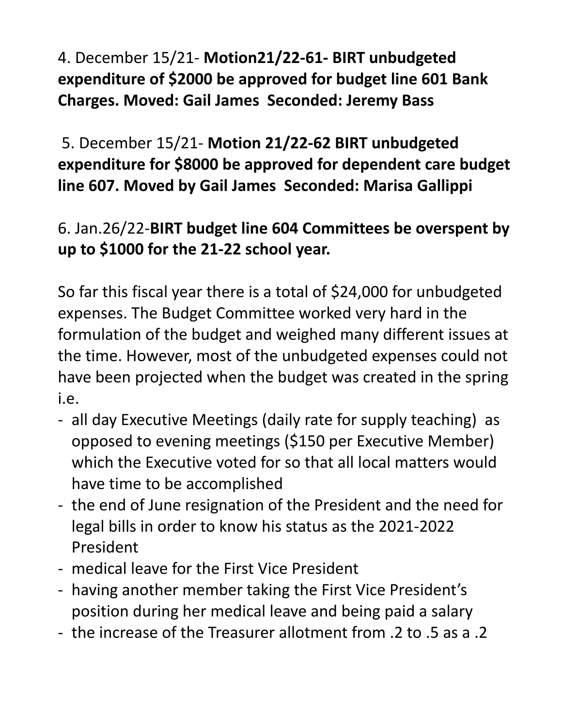4. December 15/21- **Motion21/22-61- BIRT unbudgeted expenditure of \$2000 be approved for budget line 601 Bank Charges. Moved: Gail James Seconded: Jeremy Bass**

5. December 15/21- **Motion 21/22-62 BIRT unbudgeted expenditure for \$8000 be approved for dependent care budget line 607. Moved by Gail James Seconded: Marisa Gallippi**

### 6. Jan.26/22-**BIRT budget line 604 Committees be overspent by up to \$1000 for the 21-22 school year.**

So far this fiscal year there is a total of \$24,000 for unbudgeted expenses. The Budget Committee worked very hard in the formulation of the budget and weighed many different issues at the time. However, most of the unbudgeted expenses could not have been projected when the budget was created in the spring i.e.

- all day Executive Meetings (daily rate for supply teaching) as opposed to evening meetings (\$150 per Executive Member) which the Executive voted for so that all local matters would have time to be accomplished
- the end of June resignation of the President and the need for legal bills in order to know his status as the 2021-2022 President
- medical leave for the First Vice President
- having another member taking the First Vice President's position during her medical leave and being paid a salary
- the increase of the Treasurer allotment from .2 to .5 as a .2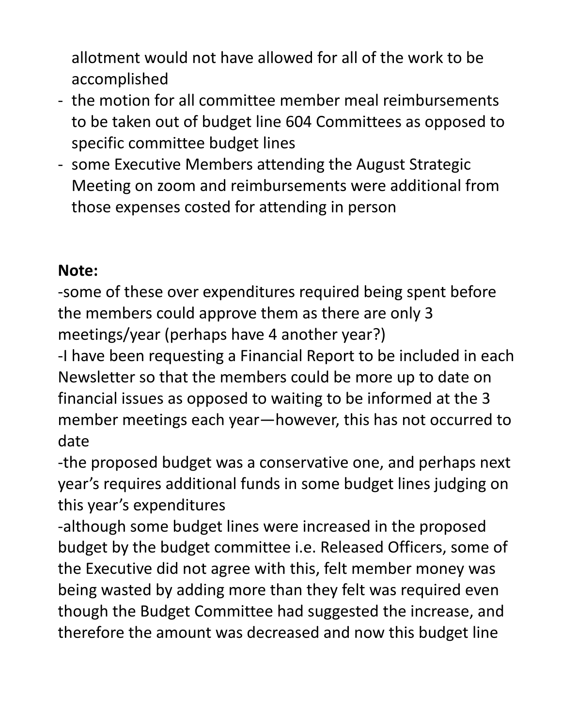allotment would not have allowed for all of the work to be accomplished

- the motion for all committee member meal reimbursements to be taken out of budget line 604 Committees as opposed to specific committee budget lines
- some Executive Members attending the August Strategic Meeting on zoom and reimbursements were additional from those expenses costed for attending in person

#### **Note:**

-some of these over expenditures required being spent before the members could approve them as there are only 3 meetings/year (perhaps have 4 another year?)

-I have been requesting a Financial Report to be included in each Newsletter so that the members could be more up to date on financial issues as opposed to waiting to be informed at the 3 member meetings each year—however, this has not occurred to date

-the proposed budget was a conservative one, and perhaps next year's requires additional funds in some budget lines judging on this year's expenditures

-although some budget lines were increased in the proposed budget by the budget committee i.e. Released Officers, some of the Executive did not agree with this, felt member money was being wasted by adding more than they felt was required even though the Budget Committee had suggested the increase, and therefore the amount was decreased and now this budget line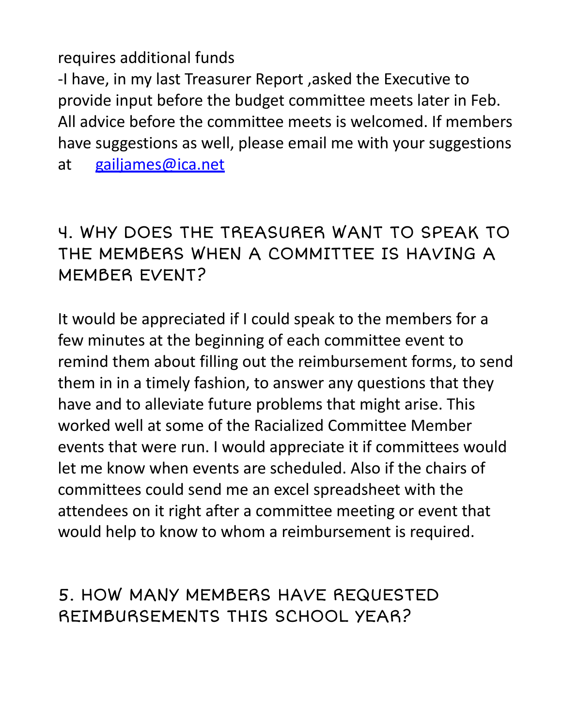#### requires additional funds

-I have, in my last Treasurer Report ,asked the Executive to provide input before the budget committee meets later in Feb. All advice before the committee meets is welcomed. If members have suggestions as well, please email me with your suggestions

at gailjames@ica.net

### 4. WHY DOES THE TREASURER WANT TO SPEAK TO THE MEMBERS WHEN A COMMITTEE IS HAVING A MEMBER EVENT?

It would be appreciated if I could speak to the members for a few minutes at the beginning of each committee event to remind them about filling out the reimbursement forms, to send them in in a timely fashion, to answer any questions that they have and to alleviate future problems that might arise. This worked well at some of the Racialized Committee Member events that were run. I would appreciate it if committees would let me know when events are scheduled. Also if the chairs of committees could send me an excel spreadsheet with the attendees on it right after a committee meeting or event that would help to know to whom a reimbursement is required.

### 5. HOW MANY MEMBERS HAVE REQUESTED REIMBURSEMENTS THIS SCHOOL YEAR?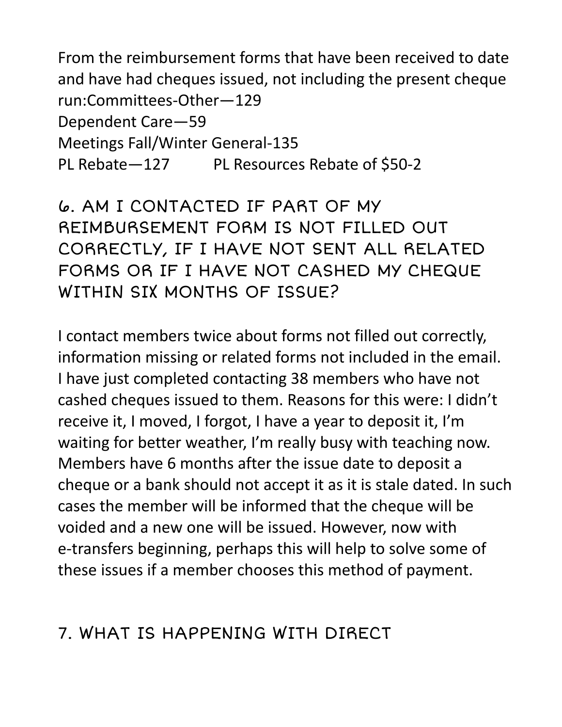From the reimbursement forms that have been received to date and have had cheques issued, not including the present cheque run:Committees-Other—129 Dependent Care—59 Meetings Fall/Winter General-135 PL Rebate—127 PL Resources Rebate of \$50-2

6. AM I CONTACTED IF PART OF MY REIMBURSEMENT FORM IS NOT FILLED OUT CORRECTLY, IF I HAVE NOT SENT ALL RELATED FORMS OR IF I HAVE NOT CASHED MY CHEQUE WITHIN SIX MONTHS OF ISSUE?

I contact members twice about forms not filled out correctly, information missing or related forms not included in the email. I have just completed contacting 38 members who have not cashed cheques issued to them. Reasons for this were: I didn't receive it, I moved, I forgot, I have a year to deposit it, I'm waiting for better weather, I'm really busy with teaching now. Members have 6 months after the issue date to deposit a cheque or a bank should not accept it as it is stale dated. In such cases the member will be informed that the cheque will be voided and a new one will be issued. However, now with e-transfers beginning, perhaps this will help to solve some of these issues if a member chooses this method of payment.

### 7. WHAT IS HAPPENING WITH DIRECT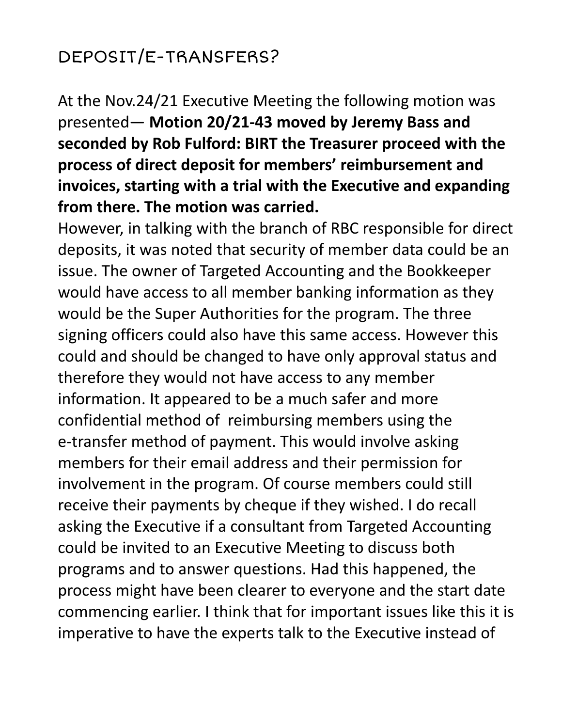## DEPOSIT/E-TRANSFERS?

At the Nov.24/21 Executive Meeting the following motion was presented— **Motion 20/21-43 moved by Jeremy Bass and seconded by Rob Fulford: BIRT the Treasurer proceed with the process of direct deposit for members' reimbursement and invoices, starting with a trial with the Executive and expanding from there. The motion was carried.**

However, in talking with the branch of RBC responsible for direct deposits, it was noted that security of member data could be an issue. The owner of Targeted Accounting and the Bookkeeper would have access to all member banking information as they would be the Super Authorities for the program. The three signing officers could also have this same access. However this could and should be changed to have only approval status and therefore they would not have access to any member information. It appeared to be a much safer and more confidential method of reimbursing members using the e-transfer method of payment. This would involve asking members for their email address and their permission for involvement in the program. Of course members could still receive their payments by cheque if they wished. I do recall asking the Executive if a consultant from Targeted Accounting could be invited to an Executive Meeting to discuss both programs and to answer questions. Had this happened, the process might have been clearer to everyone and the start date commencing earlier. I think that for important issues like this it is imperative to have the experts talk to the Executive instead of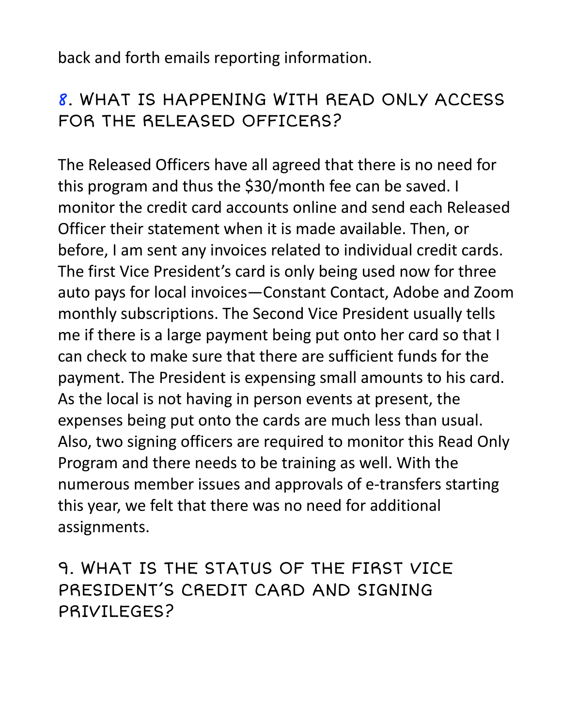back and forth emails reporting information.

### 8. WHAT IS HAPPENING WITH READ ONLY ACCESS FOR THE RELEASED OFFICERS?

The Released Officers have all agreed that there is no need for this program and thus the \$30/month fee can be saved. I monitor the credit card accounts online and send each Released Officer their statement when it is made available. Then, or before, I am sent any invoices related to individual credit cards. The first Vice President's card is only being used now for three auto pays for local invoices—Constant Contact, Adobe and Zoom monthly subscriptions. The Second Vice President usually tells me if there is a large payment being put onto her card so that I can check to make sure that there are sufficient funds for the payment. The President is expensing small amounts to his card. As the local is not having in person events at present, the expenses being put onto the cards are much less than usual. Also, two signing officers are required to monitor this Read Only Program and there needs to be training as well. With the numerous member issues and approvals of e-transfers starting this year, we felt that there was no need for additional assignments.

9. WHAT IS THE STATUS OF THE FIRST VICE PRESIDENT'S CREDIT CARD AND SIGNING PRIVIL FGFS?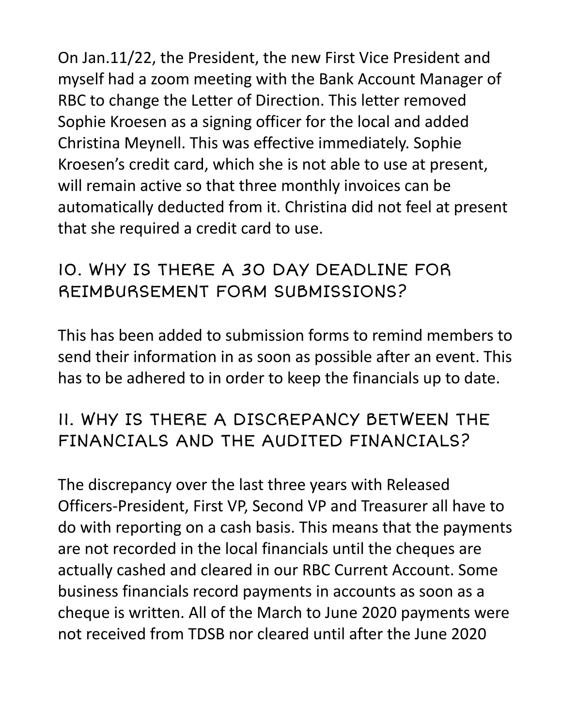On Jan.11/22, the President, the new First Vice President and myself had a zoom meeting with the Bank Account Manager of RBC to change the Letter of Direction. This letter removed Sophie Kroesen as a signing officer for the local and added Christina Meynell. This was effective immediately. Sophie Kroesen's credit card, which she is not able to use at present, will remain active so that three monthly invoices can be automatically deducted from it. Christina did not feel at present that she required a credit card to use.

### 10. WHY IS THERE A 30 DAY DEADLINE FOR REIMBURSEMENT FORM SUBMISSIONS?

This has been added to submission forms to remind members to send their information in as soon as possible after an event. This has to be adhered to in order to keep the financials up to date.

### 11. WHY IS THERE A DISCREPANCY BETWEEN THE FINANCIALS AND THE AUDITED FINANCIALS?

The discrepancy over the last three years with Released Officers-President, First VP, Second VP and Treasurer all have to do with reporting on a cash basis. This means that the payments are not recorded in the local financials until the cheques are actually cashed and cleared in our RBC Current Account. Some business financials record payments in accounts as soon as a cheque is written. All of the March to June 2020 payments were not received from TDSB nor cleared until after the June 2020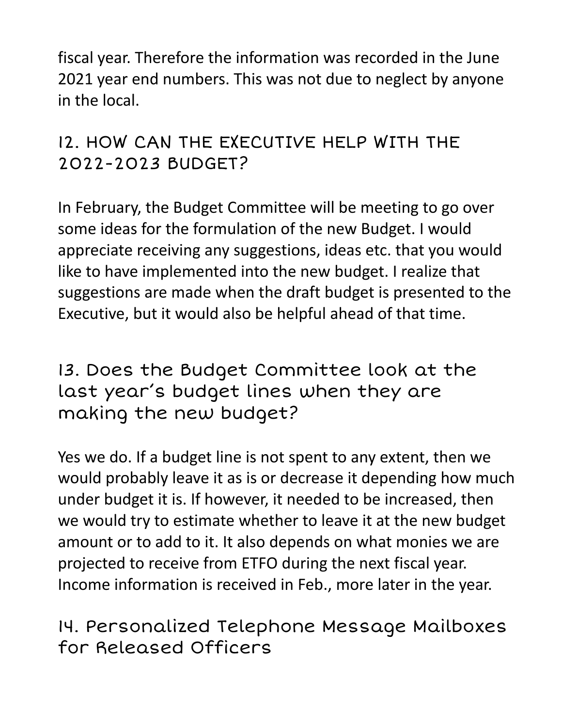fiscal year. Therefore the information was recorded in the June 2021 year end numbers. This was not due to neglect by anyone in the local.

### 12. HOW CAN THE EXECUTIVE HELP WITH THE 2022-2023 BUDGET?

In February, the Budget Committee will be meeting to go over some ideas for the formulation of the new Budget. I would appreciate receiving any suggestions, ideas etc. that you would like to have implemented into the new budget. I realize that suggestions are made when the draft budget is presented to the Executive, but it would also be helpful ahead of that time.

13. Does the Budget Committee look at the last year's budget lines when they are making the new budget?

Yes we do. If a budget line is not spent to any extent, then we would probably leave it as is or decrease it depending how much under budget it is. If however, it needed to be increased, then we would try to estimate whether to leave it at the new budget amount or to add to it. It also depends on what monies we are projected to receive from ETFO during the next fiscal year. Income information is received in Feb., more later in the year.

14. Personalized Telephone Message Mailboxes for Released Officers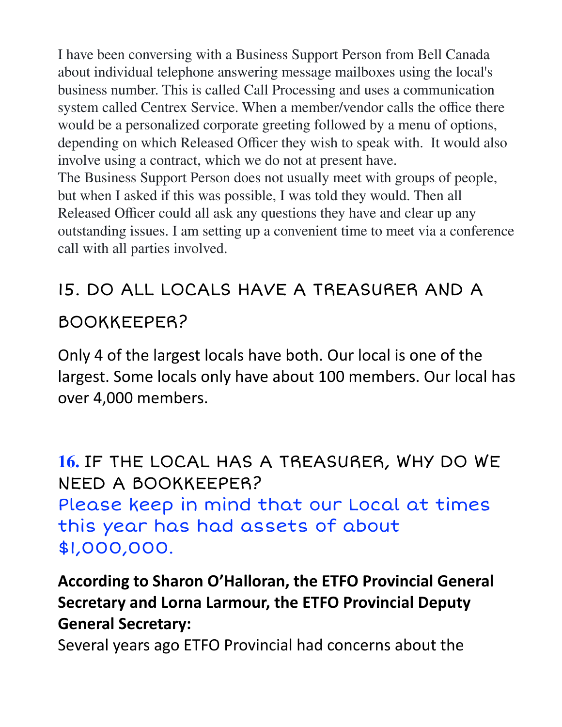I have been conversing with a Business Support Person from Bell Canada about individual telephone answering message mailboxes using the local's business number. This is called Call Processing and uses a communication system called Centrex Service. When a member/vendor calls the office there would be a personalized corporate greeting followed by a menu of options, depending on which Released Officer they wish to speak with. It would also involve using a contract, which we do not at present have. The Business Support Person does not usually meet with groups of people, but when I asked if this was possible, I was told they would. Then all Released Officer could all ask any questions they have and clear up any outstanding issues. I am setting up a convenient time to meet via a conference call with all parties involved.

## 15. DO ALL LOCALS HAVE A TREASURER AND A BOOKKEEPER?

Only 4 of the largest locals have both. Our local is one of the largest. Some locals only have about 100 members. Our local has over 4,000 members.

**16.** IF THE LOCAL HAS A TREASURER, WHY DO WE NEED A BOOKKEEPER? Please keep in mind that our Local at times this year has had assets of about \$1,000,000.

### **According to Sharon O'Halloran, the ETFO Provincial General Secretary and Lorna Larmour, the ETFO Provincial Deputy General Secretary:**

Several years ago ETFO Provincial had concerns about the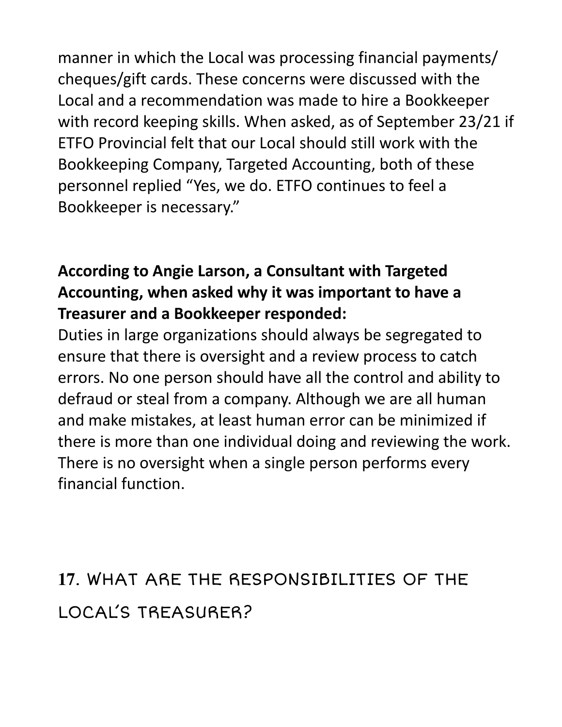manner in which the Local was processing financial payments/ cheques/gift cards. These concerns were discussed with the Local and a recommendation was made to hire a Bookkeeper with record keeping skills. When asked, as of September 23/21 if ETFO Provincial felt that our Local should still work with the Bookkeeping Company, Targeted Accounting, both of these personnel replied "Yes, we do. ETFO continues to feel a Bookkeeper is necessary."

#### **According to Angie Larson, a Consultant with Targeted Accounting, when asked why it was important to have a Treasurer and a Bookkeeper responded:**

Duties in large organizations should always be segregated to ensure that there is oversight and a review process to catch errors. No one person should have all the control and ability to defraud or steal from a company. Although we are all human and make mistakes, at least human error can be minimized if there is more than one individual doing and reviewing the work. There is no oversight when a single person performs every financial function.

# **17**. WHAT ARE THE RESPONSIBILITIES OF THE LOCAL'S TREASURER?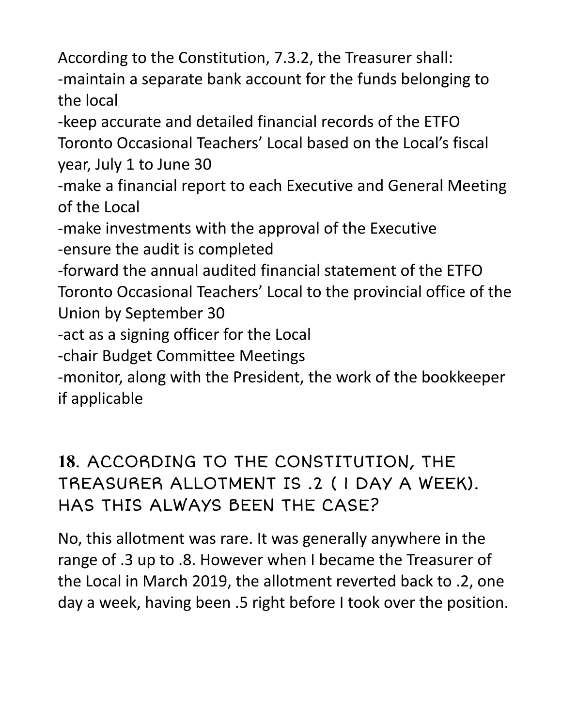According to the Constitution, 7.3.2, the Treasurer shall: -maintain a separate bank account for the funds belonging to the local

-keep accurate and detailed financial records of the ETFO Toronto Occasional Teachers' Local based on the Local's fiscal year, July 1 to June 30

-make a financial report to each Executive and General Meeting of the Local

-make investments with the approval of the Executive -ensure the audit is completed

-forward the annual audited financial statement of the ETFO Toronto Occasional Teachers' Local to the provincial office of the Union by September 30

-act as a signing officer for the Local

-chair Budget Committee Meetings

-monitor, along with the President, the work of the bookkeeper if applicable

**18**. ACCORDING TO THE CONSTITUTION, THE TREASURER ALLOTMENT IS .2 ( 1 DAY A WEEK). HAS THIS ALWAYS BEEN THE CASE?

No, this allotment was rare. It was generally anywhere in the range of .3 up to .8. However when I became the Treasurer of the Local in March 2019, the allotment reverted back to .2, one day a week, having been .5 right before I took over the position.